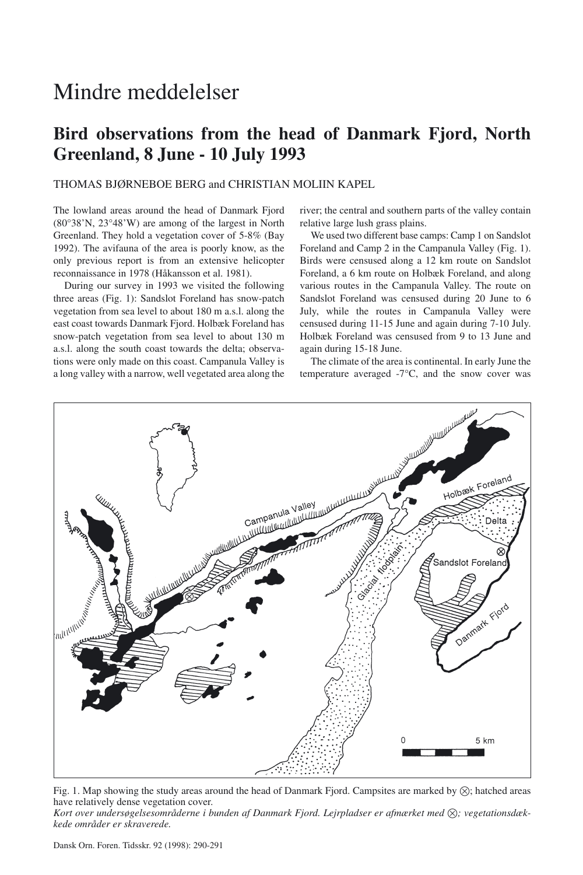# Mindre meddelelser

## **Bird observations from the head of Danmark Fjord, North Greenland, 8 June - 10 July 1993**

### THOMAS BJØRNEBOE BERG and CHRISTIAN MOLIIN KAPEL

The lowland areas around the head of Danmark Fjord (80°38'N, 23°48'W) are among of the largest in North Greenland. They hold a vegetation cover of 5-8% (Bay 1992). The avifauna of the area is poorly know, as the only previous report is from an extensive helicopter reconnaissance in 1978 (Håkansson et al. 1981).

During our survey in 1993 we visited the following three areas (Fig. 1): Sandslot Foreland has snow-patch vegetation from sea level to about 180 m a.s.l. along the east coast towards Danmark Fjord. Holbæk Foreland has snow-patch vegetation from sea level to about 130 m a.s.l. along the south coast towards the delta; observations were only made on this coast. Campanula Valley is a long valley with a narrow, well vegetated area along the river; the central and southern parts of the valley contain relative large lush grass plains.

We used two different base camps: Camp 1 on Sandslot Foreland and Camp 2 in the Campanula Valley (Fig. 1). Birds were censused along a 12 km route on Sandslot Foreland, a 6 km route on Holbæk Foreland, and along various routes in the Campanula Valley. The route on Sandslot Foreland was censused during 20 June to 6 July, while the routes in Campanula Valley were censused during 11-15 June and again during 7-10 July. Holbæk Foreland was censused from 9 to 13 June and again during 15-18 June.

The climate of the area is continental. In early June the temperature averaged -7°C, and the snow cover was



Fig. 1. Map showing the study areas around the head of Danmark Fjord. Campsites are marked by  $\otimes$ ; hatched areas have relatively dense vegetation cover.

Kort over undersøgelsesområderne i bunden af Danmark Fjord. Lejrpladser er afmærket med  $\otimes$ ; vegetationsdæk*kede områder er skraverede.*